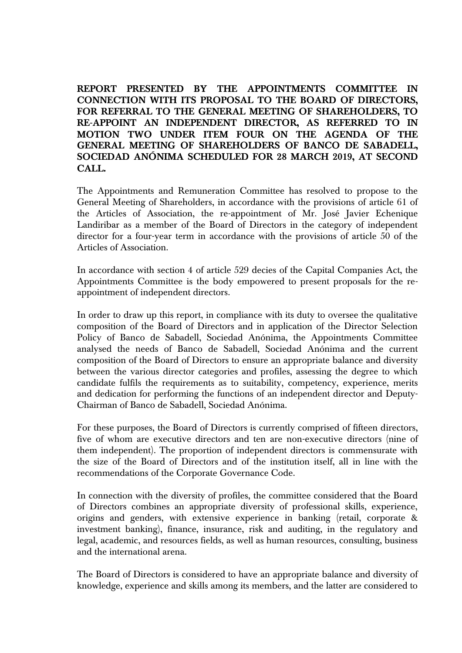**REPORT PRESENTED BY THE APPOINTMENTS COMMITTEE IN CONNECTION WITH ITS PROPOSAL TO THE BOARD OF DIRECTORS, FOR REFERRAL TO THE GENERAL MEETING OF SHAREHOLDERS, TO RE-APPOINT AN INDEPENDENT DIRECTOR, AS REFERRED TO IN MOTION TWO UNDER ITEM FOUR ON THE AGENDA OF THE GENERAL MEETING OF SHAREHOLDERS OF BANCO DE SABADELL, SOCIEDAD ANÓNIMA SCHEDULED FOR 28 MARCH 2019, AT SECOND CALL.**

The Appointments and Remuneration Committee has resolved to propose to the General Meeting of Shareholders, in accordance with the provisions of article 61 of the Articles of Association, the re-appointment of Mr. José Javier Echenique Landiribar as a member of the Board of Directors in the category of independent director for a four-year term in accordance with the provisions of article 50 of the Articles of Association.

In accordance with section 4 of article 529 decies of the Capital Companies Act, the Appointments Committee is the body empowered to present proposals for the reappointment of independent directors.

In order to draw up this report, in compliance with its duty to oversee the qualitative composition of the Board of Directors and in application of the Director Selection Policy of Banco de Sabadell, Sociedad Anónima, the Appointments Committee analysed the needs of Banco de Sabadell, Sociedad Anónima and the current composition of the Board of Directors to ensure an appropriate balance and diversity between the various director categories and profiles, assessing the degree to which candidate fulfils the requirements as to suitability, competency, experience, merits and dedication for performing the functions of an independent director and Deputy-Chairman of Banco de Sabadell, Sociedad Anónima.

For these purposes, the Board of Directors is currently comprised of fifteen directors, five of whom are executive directors and ten are non-executive directors (nine of them independent). The proportion of independent directors is commensurate with the size of the Board of Directors and of the institution itself, all in line with the recommendations of the Corporate Governance Code.

In connection with the diversity of profiles, the committee considered that the Board of Directors combines an appropriate diversity of professional skills, experience, origins and genders, with extensive experience in banking (retail, corporate & investment banking), finance, insurance, risk and auditing, in the regulatory and legal, academic, and resources fields, as well as human resources, consulting, business and the international arena.

The Board of Directors is considered to have an appropriate balance and diversity of knowledge, experience and skills among its members, and the latter are considered to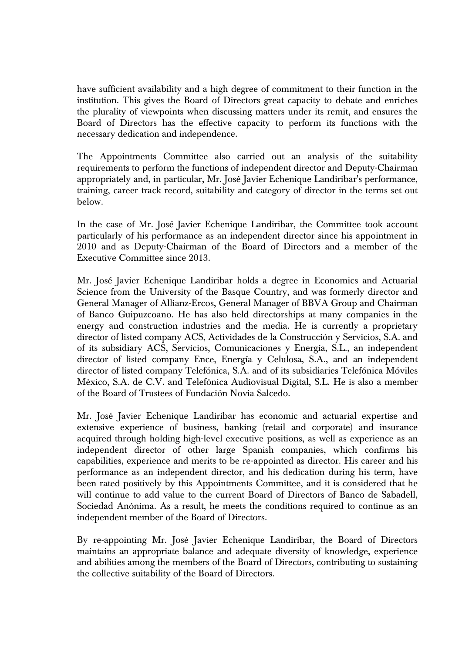have sufficient availability and a high degree of commitment to their function in the institution. This gives the Board of Directors great capacity to debate and enriches the plurality of viewpoints when discussing matters under its remit, and ensures the Board of Directors has the effective capacity to perform its functions with the necessary dedication and independence.

The Appointments Committee also carried out an analysis of the suitability requirements to perform the functions of independent director and Deputy-Chairman appropriately and, in particular, Mr. José Javier Echenique Landiribar's performance, training, career track record, suitability and category of director in the terms set out below.

In the case of Mr. José Javier Echenique Landiribar, the Committee took account particularly of his performance as an independent director since his appointment in 2010 and as Deputy-Chairman of the Board of Directors and a member of the Executive Committee since 2013.

Mr. José Javier Echenique Landiribar holds a degree in Economics and Actuarial Science from the University of the Basque Country, and was formerly director and General Manager of Allianz-Ercos, General Manager of BBVA Group and Chairman of Banco Guipuzcoano. He has also held directorships at many companies in the energy and construction industries and the media. He is currently a proprietary director of listed company ACS, Actividades de la Construcción y Servicios, S.A. and of its subsidiary ACS, Servicios, Comunicaciones y Energía, S.L., an independent director of listed company Ence, Energía y Celulosa, S.A., and an independent director of listed company Telefónica, S.A. and of its subsidiaries Telefónica Móviles México, S.A. de C.V. and Telefónica Audiovisual Digital, S.L. He is also a member of the Board of Trustees of Fundación Novia Salcedo.

Mr. José Javier Echenique Landiribar has economic and actuarial expertise and extensive experience of business, banking (retail and corporate) and insurance acquired through holding high-level executive positions, as well as experience as an independent director of other large Spanish companies, which confirms his capabilities, experience and merits to be re-appointed as director. His career and his performance as an independent director, and his dedication during his term, have been rated positively by this Appointments Committee, and it is considered that he will continue to add value to the current Board of Directors of Banco de Sabadell, Sociedad Anónima. As a result, he meets the conditions required to continue as an independent member of the Board of Directors.

By re-appointing Mr. José Javier Echenique Landiribar, the Board of Directors maintains an appropriate balance and adequate diversity of knowledge, experience and abilities among the members of the Board of Directors, contributing to sustaining the collective suitability of the Board of Directors.